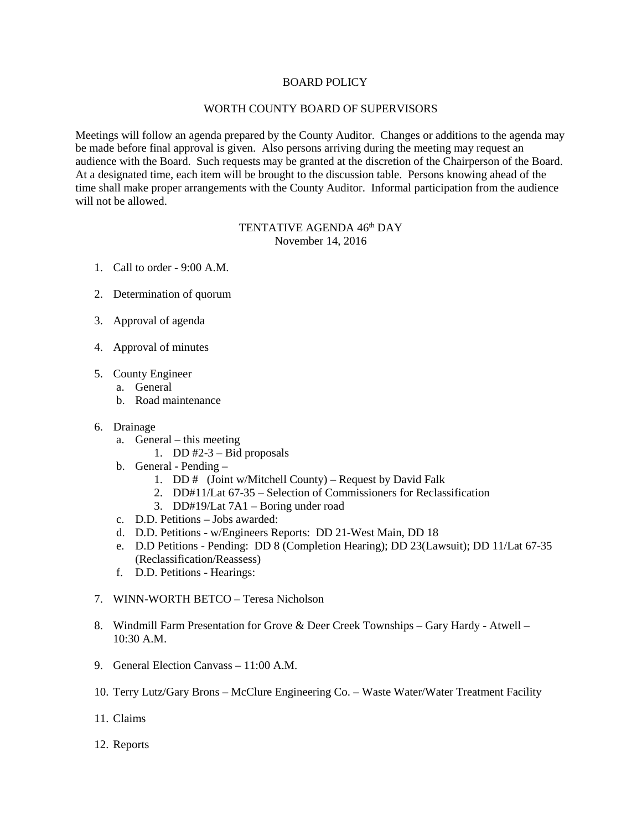## BOARD POLICY

## WORTH COUNTY BOARD OF SUPERVISORS

Meetings will follow an agenda prepared by the County Auditor. Changes or additions to the agenda may be made before final approval is given. Also persons arriving during the meeting may request an audience with the Board. Such requests may be granted at the discretion of the Chairperson of the Board. At a designated time, each item will be brought to the discussion table. Persons knowing ahead of the time shall make proper arrangements with the County Auditor. Informal participation from the audience will not be allowed.

## TENTATIVE AGENDA 46<sup>th</sup> DAY November 14, 2016

- 1. Call to order 9:00 A.M.
- 2. Determination of quorum
- 3. Approval of agenda
- 4. Approval of minutes
- 5. County Engineer
	- a. General
	- b. Road maintenance
- 6. Drainage
	- a. General this meeting
		- 1. DD  $#2-3$  Bid proposals
	- b. General Pending
		- 1. DD # (Joint w/Mitchell County) Request by David Falk
		- 2. DD#11/Lat 67-35 Selection of Commissioners for Reclassification
		- 3. DD#19/Lat 7A1 Boring under road
	- c. D.D. Petitions Jobs awarded:
	- d. D.D. Petitions w/Engineers Reports: DD 21-West Main, DD 18
	- e. D.D Petitions Pending: DD 8 (Completion Hearing); DD 23(Lawsuit); DD 11/Lat 67-35 (Reclassification/Reassess)
	- f. D.D. Petitions Hearings:
- 7. WINN-WORTH BETCO Teresa Nicholson
- 8. Windmill Farm Presentation for Grove & Deer Creek Townships Gary Hardy Atwell 10:30 A.M.
- 9. General Election Canvass 11:00 A.M.
- 10. Terry Lutz/Gary Brons McClure Engineering Co. Waste Water/Water Treatment Facility
- 11. Claims
- 12. Reports